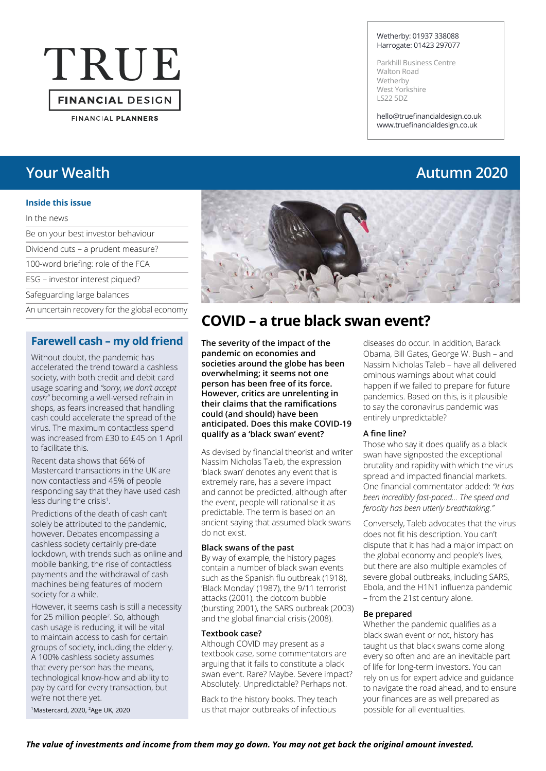# TRUE **FINANCIAL DESIGN**

**FINANCIAL PLANNERS** 

#### **Inside this issue**

#### In the news

| Be on your best investor behaviour |
|------------------------------------|
| Dividend cuts - a prudent measure? |
| 100-word briefing: role of the FCA |
| ESG – investor interest piqued?    |
| Safeguarding large balances        |

An uncertain recovery for the global economy

#### **Farewell cash – my old friend**

Without doubt, the pandemic has accelerated the trend toward a cashless society, with both credit and debit card usage soaring and *"sorry, we don't accept cash"* becoming a well-versed refrain in shops, as fears increased that handling cash could accelerate the spread of the virus. The maximum contactless spend was increased from £30 to £45 on 1 April to facilitate this.

Recent data shows that 66% of Mastercard transactions in the UK are now contactless and 45% of people responding say that they have used cash less during the crisis<sup>1</sup>.

Predictions of the death of cash can't solely be attributed to the pandemic, however. Debates encompassing a cashless society certainly pre-date lockdown, with trends such as online and mobile banking, the rise of contactless payments and the withdrawal of cash machines being features of modern society for a while.

However, it seems cash is still a necessity for 25 million people<sup>2</sup>. So, although cash usage is reducing, it will be vital to maintain access to cash for certain groups of society, including the elderly. A 100% cashless society assumes that every person has the means, technological know-how and ability to pay by card for every transaction, but we're not there yet.

1Mastercard, 2020, 2Age UK, 2020

#### Wetherby: 01937 338088 Harrogate: 01423 297077

Parkhill Business Centre Walton Road Wetherby West Yorkshire LS22 5DZ

hello@truefinancialdesign.co.uk www.truefinancialdesign.co.uk

## **Your Wealth Autumn 2020**



### **COVID – a true black swan event?**

**The severity of the impact of the pandemic on economies and societies around the globe has been overwhelming; it seems not one person has been free of its force. However, critics are unrelenting in their claims that the ramifications could (and should) have been anticipated. Does this make COVID-19 qualify as a 'black swan' event?** 

As devised by financial theorist and writer Nassim Nicholas Taleb, the expression 'black swan' denotes any event that is extremely rare, has a severe impact and cannot be predicted, although after the event, people will rationalise it as predictable. The term is based on an ancient saying that assumed black swans do not exist.

#### **Black swans of the past**

By way of example, the history pages contain a number of black swan events such as the Spanish flu outbreak (1918), 'Black Monday' (1987), the 9/11 terrorist attacks (2001), the dotcom bubble (bursting 2001), the SARS outbreak (2003) and the global financial crisis (2008).

#### **Textbook case?**

Although COVID may present as a textbook case, some commentators are arguing that it fails to constitute a black swan event. Rare? Maybe. Severe impact? Absolutely. Unpredictable? Perhaps not.

Back to the history books. They teach us that major outbreaks of infectious

diseases do occur. In addition, Barack Obama, Bill Gates, George W. Bush – and Nassim Nicholas Taleb – have all delivered ominous warnings about what could happen if we failed to prepare for future pandemics. Based on this, is it plausible to say the coronavirus pandemic was entirely unpredictable?

#### **A fine line?**

Those who say it does qualify as a black swan have signposted the exceptional brutality and rapidity with which the virus spread and impacted financial markets. One financial commentator added: *"It has been incredibly fast-paced... The speed and ferocity has been utterly breathtaking."*

Conversely, Taleb advocates that the virus does not fit his description. You can't dispute that it has had a major impact on the global economy and people's lives, but there are also multiple examples of severe global outbreaks, including SARS, Ebola, and the H1N1 influenza pandemic – from the 21st century alone.

#### **Be prepared**

Whether the pandemic qualifies as a black swan event or not, history has taught us that black swans come along every so often and are an inevitable part of life for long-term investors. You can rely on us for expert advice and guidance to navigate the road ahead, and to ensure your finances are as well prepared as possible for all eventualities.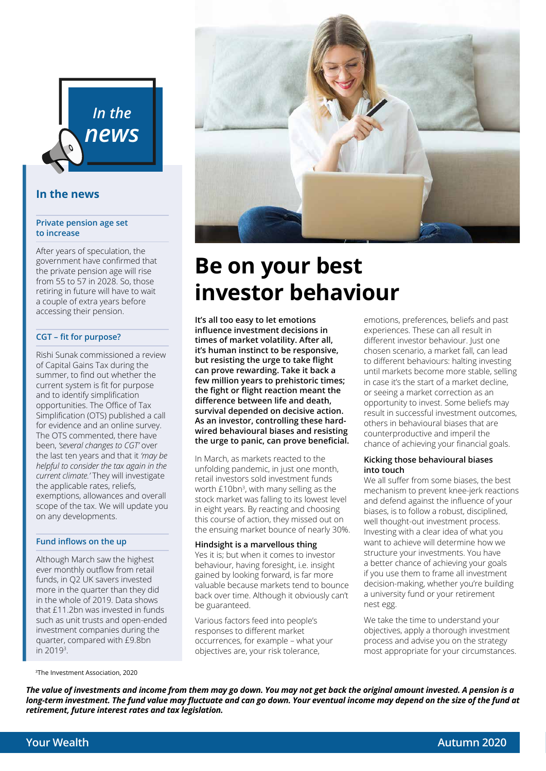

#### **In the news**

#### **Private pension age set to increase**

After years of speculation, the government have confirmed that the private pension age will rise from 55 to 57 in 2028. So, those retiring in future will have to wait a couple of extra years before accessing their pension.

#### **CGT – fit for purpose?**

Rishi Sunak commissioned a review of Capital Gains Tax during the summer, to find out whether the current system is fit for purpose and to identify simplification opportunities. The Office of Tax Simplification (OTS) published a call for evidence and an online survey. The OTS commented, there have been, *'several changes to CGT'* over the last ten years and that it *'may be helpful to consider the tax again in the current climate.'* They will investigate the applicable rates, reliefs, exemptions, allowances and overall scope of the tax. We will update you on any developments.

#### **Fund inflows on the up**

Although March saw the highest ever monthly outflow from retail funds, in Q2 UK savers invested more in the quarter than they did in the whole of 2019. Data shows that £11.2bn was invested in funds such as unit trusts and open-ended investment companies during the quarter, compared with £9.8bn in 20193 .



## **Be on your best investor behaviour**

**It's all too easy to let emotions influence investment decisions in times of market volatility. After all, it's human instinct to be responsive, but resisting the urge to take flight can prove rewarding. Take it back a few million years to prehistoric times; the fight or flight reaction meant the difference between life and death, survival depended on decisive action. As an investor, controlling these hardwired behavioural biases and resisting the urge to panic, can prove beneficial.** 

In March, as markets reacted to the unfolding pandemic, in just one month, retail investors sold investment funds worth £10bn<sup>3</sup>, with many selling as the stock market was falling to its lowest level in eight years. By reacting and choosing this course of action, they missed out on the ensuing market bounce of nearly 30%.

#### **Hindsight is a marvellous thing**

Yes it is; but when it comes to investor behaviour, having foresight, i.e. insight gained by looking forward, is far more valuable because markets tend to bounce back over time. Although it obviously can't be guaranteed.

Various factors feed into people's responses to different market occurrences, for example – what your objectives are, your risk tolerance,

emotions, preferences, beliefs and past experiences. These can all result in different investor behaviour. Just one chosen scenario, a market fall, can lead to different behaviours: halting investing until markets become more stable, selling in case it's the start of a market decline, or seeing a market correction as an opportunity to invest. Some beliefs may result in successful investment outcomes, others in behavioural biases that are counterproductive and imperil the chance of achieving your financial goals.

#### **Kicking those behavioural biases into touch**

We all suffer from some biases, the best mechanism to prevent knee-jerk reactions and defend against the influence of your biases, is to follow a robust, disciplined, well thought-out investment process. Investing with a clear idea of what you want to achieve will determine how we structure your investments. You have a better chance of achieving your goals if you use them to frame all investment decision-making, whether you're building a university fund or your retirement nest egg.

We take the time to understand your objectives, apply a thorough investment process and advise you on the strategy most appropriate for your circumstances.

3The Investment Association, 2020

*The value of investments and income from them may go down. You may not get back the original amount invested. A pension is a long-term investment. The fund value may fluctuate and can go down. Your eventual income may depend on the size of the fund at retirement, future interest rates and tax legislation.*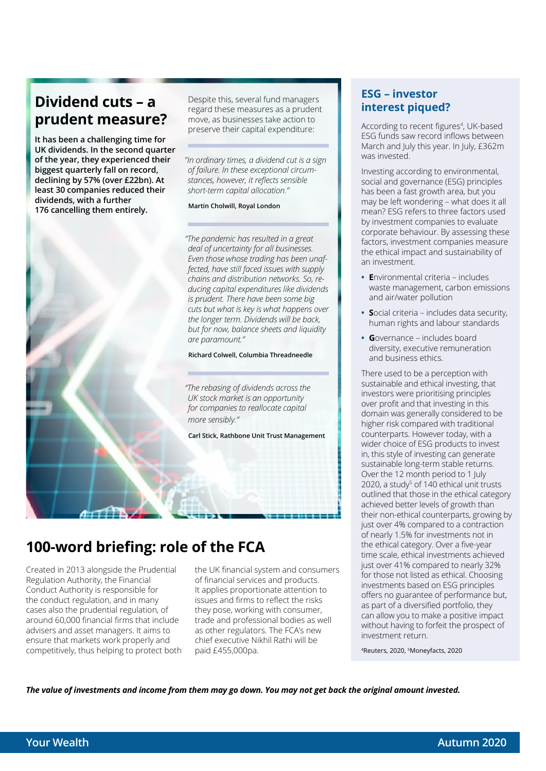### **Dividend cuts – a prudent measure?**

**It has been a challenging time for UK dividends. In the second quarter of the year, they experienced their biggest quarterly fall on record, declining by 57% (over £22bn). At least 30 companies reduced their dividends, with a further 176 cancelling them entirely.** 



Despite this, several fund managers regard these measures as a prudent move, as businesses take action to preserve their capital expenditure:

*"In ordinary times, a dividend cut is a sign of failure. In these exceptional circumstances, however, it reflects sensible short-term capital allocation."*

**Martin Cholwill, Royal London**

*"The pandemic has resulted in a great deal of uncertainty for all businesses. Even those whose trading has been unaffected, have still faced issues with supply chains and distribution networks. So, reducing capital expenditures like dividends is prudent. There have been some big cuts but what is key is what happens over the longer term. Dividends will be back, but for now, balance sheets and liquidity are paramount."*

**Richard Colwell, Columbia Threadneedle**

*"The rebasing of dividends across the UK stock market is an opportunity for companies to reallocate capital more sensibly."*

**Carl Stick, Rathbone Unit Trust Management**

## **100-word briefing: role of the FCA**

Created in 2013 alongside the Prudential Regulation Authority, the Financial Conduct Authority is responsible for the conduct regulation, and in many cases also the prudential regulation, of around 60,000 financial firms that include advisers and asset managers. It aims to ensure that markets work properly and competitively, thus helping to protect both

the UK financial system and consumers of financial services and products. It applies proportionate attention to issues and firms to reflect the risks they pose, working with consumer, trade and professional bodies as well as other regulators. The FCA's new chief executive Nikhil Rathi will be paid £455,000pa.

#### **ESG – investor interest piqued?**

According to recent figures<sup>4</sup>, UK-based ESG funds saw record inflows between March and July this year. In July, £362m was invested.

Investing according to environmental, social and governance (ESG) principles has been a fast growth area, but you may be left wondering – what does it all mean? ESG refers to three factors used by investment companies to evaluate corporate behaviour. By assessing these factors, investment companies measure the ethical impact and sustainability of an investment.

- **• E**nvironmental criteria includes waste management, carbon emissions and air/water pollution
- **• S**ocial criteria includes data security, human rights and labour standards
- **• G**overnance includes board diversity, executive remuneration and business ethics.

There used to be a perception with sustainable and ethical investing, that investors were prioritising principles over profit and that investing in this domain was generally considered to be higher risk compared with traditional counterparts. However today, with a wider choice of ESG products to invest in, this style of investing can generate sustainable long-term stable returns. Over the 12 month period to 1 July 2020, a study<sup>5</sup> of 140 ethical unit trusts outlined that those in the ethical category achieved better levels of growth than their non-ethical counterparts, growing by just over 4% compared to a contraction of nearly 1.5% for investments not in the ethical category. Over a five-year time scale, ethical investments achieved just over 41% compared to nearly 32% for those not listed as ethical. Choosing investments based on ESG principles offers no guarantee of performance but, as part of a diversified portfolio, they can allow you to make a positive impact without having to forfeit the prospect of investment return.

4Reuters, 2020, 5Moneyfacts, 2020

*The value of investments and income from them may go down. You may not get back the original amount invested.*